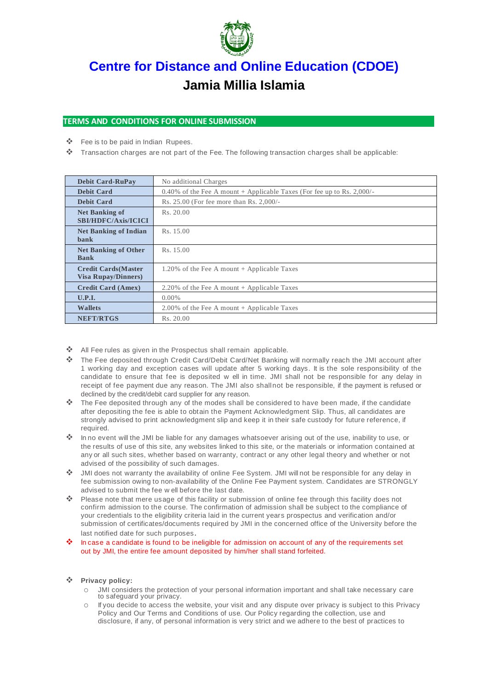

# **[Centre for Distance and Online Education \(CDOE\)](https://www.jmi.ac.in/cdoe/introduction) Jamia Millia Islamia**

## **TERMS AND CONDITIONS FOR ONLINE SUBMISSION**

- Fee is to be paid in Indian Rupees.
- Transaction charges are not part of the Fee. The following transaction charges shall be applicable:

| <b>Debit Card-RuPay</b>                                   | No additional Charges                                                  |
|-----------------------------------------------------------|------------------------------------------------------------------------|
| <b>Debit Card</b>                                         | 0.40% of the Fee A mount + Applicable Taxes (For fee up to Rs. 2,000/- |
| <b>Debit Card</b>                                         | Rs. 25.00 (For fee more than Rs. 2,000/-                               |
| <b>Net Banking of</b><br><b>SBI/HDFC/Axis/ICICI</b>       | Rs. 20.00                                                              |
| <b>Net Banking of Indian</b><br>bank                      | Rs. 15.00                                                              |
| <b>Net Banking of Other</b><br><b>Bank</b>                | Rs. 15.00                                                              |
| <b>Credit Cards (Master</b><br><b>Visa Rupay/Dinners)</b> | 1.20% of the Fee A mount $+$ Applicable Taxes                          |
| <b>Credit Card (Amex)</b>                                 | 2.20% of the Fee A mount $+$ Applicable Taxes                          |
| U.P.I.                                                    | $0.00\%$                                                               |
| <b>Wallets</b>                                            | $2.00\%$ of the Fee A mount + Applicable Taxes                         |
| <b>NEFT/RTGS</b>                                          | Rs. 20.00                                                              |

- ❖ All Fee rules as given in the Prospectus shall remain applicable.
- The Fee deposited through Credit Card/Debit Card/Net Banking will normally reach the JMI account after 1 working day and exception cases will update after 5 working days. It is the sole responsibility of the candidate to ensure that fee is deposited w ell in time. JMI shall not be responsible for any delay in receipt of fee payment due any reason. The JMI also shallnot be responsible, if the payment is refused or declined by the credit/debit card supplier for any reason.
- $\clubsuit$  The Fee deposited through any of the modes shall be considered to have been made, if the candidate after depositing the fee is able to obtain the Payment Acknowledgment Slip. Thus, all candidates are strongly advised to print acknowledgment slip and keep it in their safe custody for future reference, if required.
- In no event will the JMI be liable for any damages whatsoever arising out of the use, inability to use, or the results of use of this site, any websites linked to this site, or the materials or information contained at any or all such sites, whether based on warranty, contract or any other legal theory and whether or not advised of the possibility of such damages.
- JMI does not warranty the availability of online Fee System. JMI will not be responsible for any delay in fee submission owing to non-availability of the Online Fee Payment system. Candidates are STRONGLY advised to submit the fee w ell before the last date.
- Please note that mere usage of this facility or submission of online fee through this facility does not confirm admission to the course. The confirmation of admission shall be subject to the compliance of your credentials to the eligibility criteria laid in the current years prospectus and verification and/or submission of certificates/documents required by JMI in the concerned office of the University before the last notified date for such purposes.
- In case a candidate is found to be ineligible for admission on account of any of the requirements set out by JMI, the entire fee amount deposited by him/her shall stand forfeited.

#### **Privacy policy:**

- JMI considers the protection of your personal information important and shall take necessary care to safequard your privacy.
- If you decide to access the website, your visit and any dispute over privacy is subject to this Privacy Policy and Our Terms and Conditions of use. Our Policy regarding the collection, use and disclosure, if any, of personal information is very strict and we adhere to the best of practices to